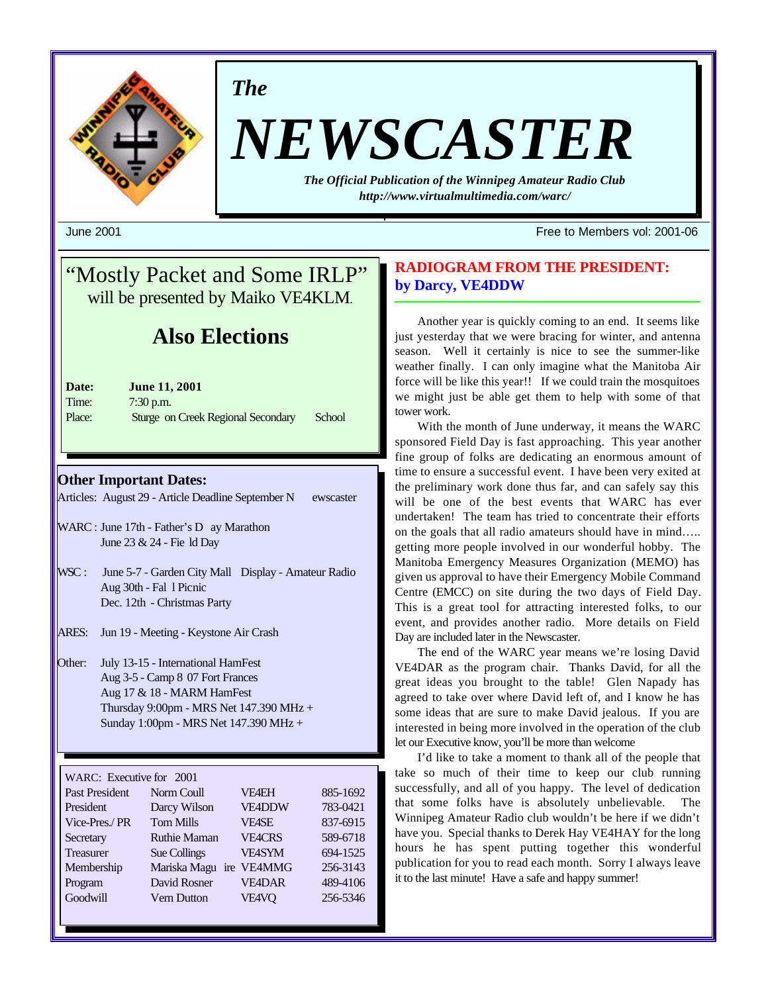

*The*

# *NEWSCASTER*

*The Official Publication of the Winnipeg Amateur Radio Club http://www.virtualmultimedia.com/warc/*

June 2001 Free to Members vol: 2001-06

## "Mostly Packet and Some IRLP" will be presented by Maiko VE4KLM.

## **Also Elections**

| Date:  | <b>June 11, 2001</b>               |        |
|--------|------------------------------------|--------|
| Time:  | $7:30$ p.m.                        |        |
| Place: | Sturge on Creek Regional Secondary | School |

#### **Other Important Dates:**

Articles: August 29 - Article Deadline September N ewscaster

- WARC : June 17th Father's D ay Marathon June 23 & 24 - Fie ld Day
- WSC : June 5-7 Garden City Mall Display Amateur Radio Aug 30th - Fal l Picnic Dec. 12th - Christmas Party
- ARES: Jun 19 Meeting Keystone Air Crash
- Other: July 13-15 International HamFest Aug 3-5 - Camp 8 07 Fort Frances Aug 17 & 18 - MARM HamFest Thursday 9:00pm - MRS Net 147.390 MHz + Sunday 1:00pm - MRS Net 147.390 MHz +

| WARC: Executive for 2001 |                     |               |          |
|--------------------------|---------------------|---------------|----------|
| <b>Past President</b>    | Norm Coull          | <b>VF4EH</b>  | 885-1692 |
| President                | Darcy Wilson        | <b>VE4DDW</b> | 783-0421 |
| Vice-Pres./PR            | <b>Tom Mills</b>    | <b>VFASE</b>  | 837-6915 |
| Secretary                | <b>Ruthie Maman</b> | <b>VE4CRS</b> | 589-6718 |
| <b>Treasurer</b>         | Sue Collings        | <b>VE4SYM</b> | 694-1525 |
| Membership               | Mariska Magu        | ire VE4MMG    | 256-3143 |
| Program                  | David Rosner        | <b>VF4DAR</b> | 489-4106 |
| Goodwill                 | <b>Vern Dutton</b>  | VE4VQ         | 256-5346 |
|                          |                     |               |          |

#### **RADIOGRAM FROM THE PRESIDENT: by Darcy, VE4DDW**

Another year is quickly coming to an end. It seems like just yesterday that we were bracing for winter, and antenna season. Well it certainly is nice to see the summer-like weather finally. I can only imagine what the Manitoba Air force will be like this year!! If we could train the mosquitoes we might just be able get them to help with some of that tower work.

With the month of June underway, it means the WARC sponsored Field Day is fast approaching. This year another fine group of folks are dedicating an enormous amount of time to ensure a successful event. I have been very exited at the preliminary work done thus far, and can safely say this will be one of the best events that WARC has ever undertaken! The team has tried to concentrate their efforts on the goals that all radio amateurs should have in mind….. getting more people involved in our wonderful hobby. The Manitoba Emergency Measures Organization (MEMO) has given us approval to have their Emergency Mobile Command Centre (EMCC) on site during the two days of Field Day. This is a great tool for attracting interested folks, to our event, and provides another radio. More details on Field Day are included later in the Newscaster.

The end of the WARC year means we're losing David VE4DAR as the program chair. Thanks David, for all the great ideas you brought to the table! Glen Napady has agreed to take over where David left of, and I know he has some ideas that are sure to make David jealous. If you are interested in being more involved in the operation of the club let our Executive know, you'll be more than welcome

I'd like to take a moment to thank all of the people that take so much of their time to keep our club running successfully, and all of you happy. The level of dedication that some folks have is absolutely unbelievable. The Winnipeg Amateur Radio club wouldn't be here if we didn't have you. Special thanks to Derek Hay VE4HAY for the long hours he has spent putting together this wonderful publication for you to read each month. Sorry I always leave it to the last minute! Have a safe and happy summer!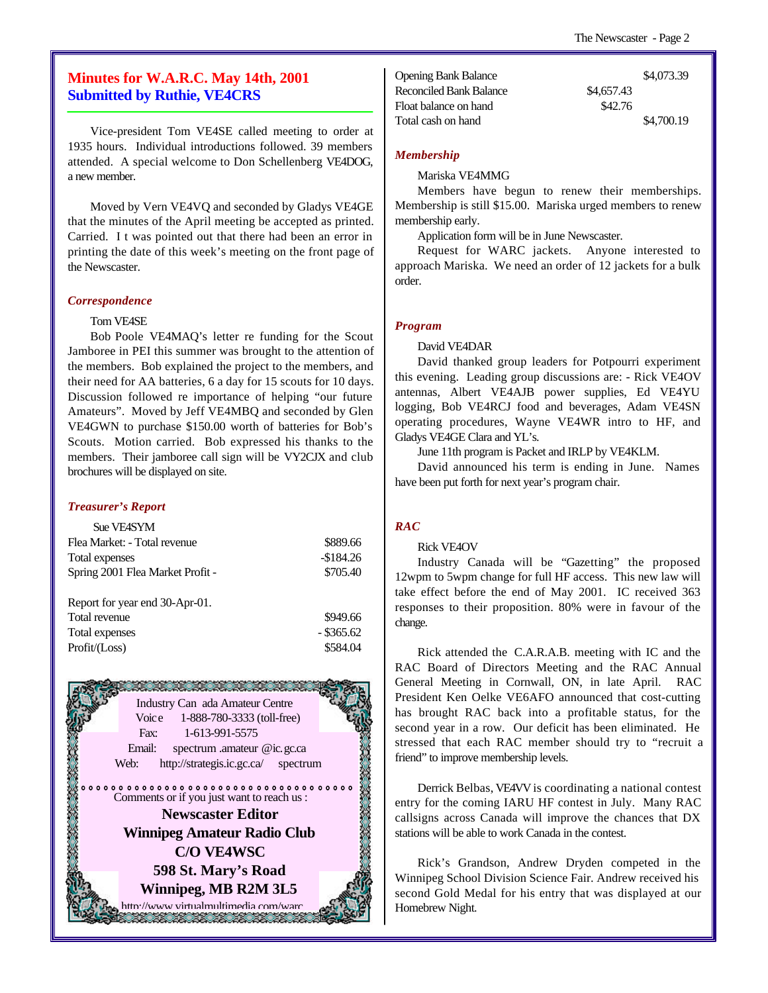#### **Minutes for W.A.R.C. May 14th, 2001 Submitted by Ruthie, VE4CRS**

Vice-president Tom VE4SE called meeting to order at 1935 hours. Individual introductions followed. 39 members attended. A special welcome to Don Schellenberg VE4DOG, a new member.

Moved by Vern VE4VQ and seconded by Gladys VE4GE that the minutes of the April meeting be accepted as printed. Carried. I t was pointed out that there had been an error in printing the date of this week's meeting on the front page of the Newscaster.

#### *Correspondence*

#### Tom VE4SE

Bob Poole VE4MAQ's letter re funding for the Scout Jamboree in PEI this summer was brought to the attention of the members. Bob explained the project to the members, and their need for AA batteries, 6 a day for 15 scouts for 10 days. Discussion followed re importance of helping "our future Amateurs". Moved by Jeff VE4MBQ and seconded by Glen VE4GWN to purchase \$150.00 worth of batteries for Bob's Scouts. Motion carried. Bob expressed his thanks to the members. Their jamboree call sign will be VY2CJX and club brochures will be displayed on site.

#### *Treasurer's Report*

| Sue VF4SYM                       |            |
|----------------------------------|------------|
| Flea Market: - Total revenue     | \$889.66   |
| Total expenses                   | $-$184.26$ |
| Spring 2001 Flea Market Profit - | \$705.40   |
| Report for year end 30-Apr-01.   |            |
| Total revenue                    | \$949.66   |

Total expenses - \$365.62 Profit/(Loss) \$584.04

oarterteenteenteenteenteenteen<br>Se Se Se Se Se Se Se Se Se Se Industry Can ada Amateur Centre Voice 1-888-780-3333 (toll-free) Fax: 1-613-991-5575 Email: spectrum .amateur @ic.gc.ca Web: http://strategis.ic.gc.ca/ spectrum Comments or if you just want to reach us : **Newscaster Editor Winnipeg Amateur Radio Club C/O VE4WSC 598 St. Mary's Road Winnipeg, MB R2M 3L5** http://www.virtualmultimedia.com/ward<br>2022:2022:2023:2023:2023

|            | \$4,073.39 |
|------------|------------|
| \$4,657.43 |            |
| \$42.76    |            |
|            | \$4,700.19 |
|            |            |

#### *Membership*

Mariska VE4MMG

Members have begun to renew their memberships. Membership is still \$15.00. Mariska urged members to renew membership early.

Application form will be in June Newscaster.

Request for WARC jackets. Anyone interested to approach Mariska. We need an order of 12 jackets for a bulk order.

#### *Program*

David VE4DAR

David thanked group leaders for Potpourri experiment this evening. Leading group discussions are: - Rick VE4OV antennas, Albert VE4AJB power supplies, Ed VE4YU logging, Bob VE4RCJ food and beverages, Adam VE4SN operating procedures, Wayne VE4WR intro to HF, and Gladys VE4GE Clara and YL's.

June 11th program is Packet and IRLP by VE4KLM.

David announced his term is ending in June. Names have been put forth for next year's program chair.

#### *RAC*

#### Rick VE4OV

Industry Canada will be "Gazetting" the proposed 12wpm to 5wpm change for full HF access. This new law will take effect before the end of May 2001. IC received 363 responses to their proposition. 80% were in favour of the change.

Rick attended the C.A.R.A.B. meeting with IC and the RAC Board of Directors Meeting and the RAC Annual General Meeting in Cornwall, ON, in late April. RAC President Ken Oelke VE6AFO announced that cost-cutting has brought RAC back into a profitable status, for the second year in a row. Our deficit has been eliminated. He stressed that each RAC member should try to "recruit a friend" to improve membership levels.

Derrick Belbas, VE4VV is coordinating a national contest entry for the coming IARU HF contest in July. Many RAC callsigns across Canada will improve the chances that DX stations will be able to work Canada in the contest.

Rick's Grandson, Andrew Dryden competed in the Winnipeg School Division Science Fair. Andrew received his second Gold Medal for his entry that was displayed at our Homebrew Night.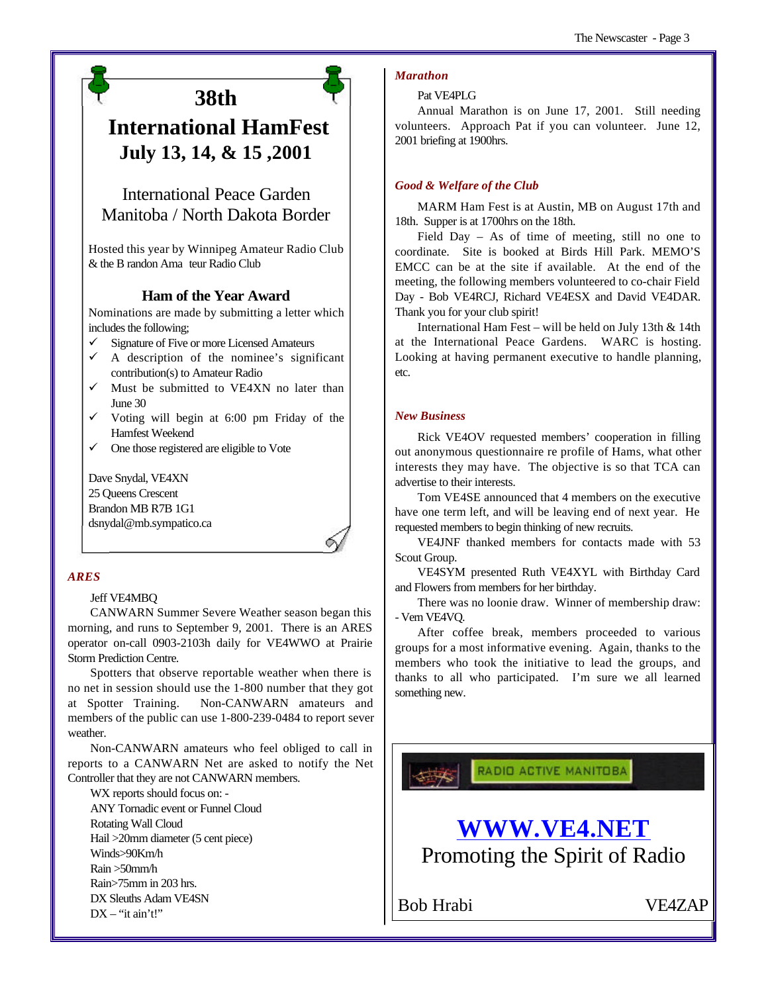## **38th**

## **International HamFest July 13, 14, & 15 ,2001**

### International Peace Garden Manitoba / North Dakota Border

Hosted this year by Winnipeg Amateur Radio Club & the B randon Ama teur Radio Club

#### **Ham of the Year Award**

Nominations are made by submitting a letter which includes the following;

- Signature of Five or more Licensed Amateurs
- A description of the nominee's significant contribution(s) to Amateur Radio
- $\checkmark$  Must be submitted to VE4XN no later than June 30
- $\checkmark$  Voting will begin at 6:00 pm Friday of the Hamfest Weekend
- One those registered are eligible to Vote

Dave Snydal, VE4XN 25 Queens Crescent Brandon MB R7B 1G1 dsnydal@mb.sympatico.ca

#### *ARES*

#### Jeff VE4MBQ

CANWARN Summer Severe Weather season began this morning, and runs to September 9, 2001. There is an ARES operator on-call 0903-2103h daily for VE4WWO at Prairie Storm Prediction Centre.

Spotters that observe reportable weather when there is no net in session should use the 1-800 number that they got at Spotter Training. Non-CANWARN amateurs and members of the public can use 1-800-239-0484 to report sever weather.

Non-CANWARN amateurs who feel obliged to call in reports to a CANWARN Net are asked to notify the Net Controller that they are not CANWARN members.

WX reports should focus on: - ANY Tornadic event or Funnel Cloud

Rotating Wall Cloud Hail >20mm diameter (5 cent piece)

Winds>90Km/h

Rain >50mm/h

Rain>75mm in 203 hrs.

DX Sleuths Adam VE4SN  $DX - "it\,ain't!"$ 

#### *Marathon*

#### Pat VE4PLG

Annual Marathon is on June 17, 2001. Still needing volunteers. Approach Pat if you can volunteer. June 12, 2001 briefing at 1900hrs.

#### *Good & Welfare of the Club*

MARM Ham Fest is at Austin, MB on August 17th and 18th. Supper is at 1700hrs on the 18th.

Field Day – As of time of meeting, still no one to coordinate. Site is booked at Birds Hill Park. MEMO'S EMCC can be at the site if available. At the end of the meeting, the following members volunteered to co-chair Field Day - Bob VE4RCJ, Richard VE4ESX and David VE4DAR. Thank you for your club spirit!

International Ham Fest – will be held on July 13th & 14th at the International Peace Gardens. WARC is hosting. Looking at having permanent executive to handle planning, etc.

#### *New Business*

Rick VE4OV requested members' cooperation in filling out anonymous questionnaire re profile of Hams, what other interests they may have. The objective is so that TCA can advertise to their interests.

Tom VE4SE announced that 4 members on the executive have one term left, and will be leaving end of next year. He requested members to begin thinking of new recruits.

VE4JNF thanked members for contacts made with 53 Scout Group.

VE4SYM presented Ruth VE4XYL with Birthday Card and Flowers from members for her birthday.

There was no loonie draw. Winner of membership draw: - Vern VE4VQ.

After coffee break, members proceeded to various groups for a most informative evening. Again, thanks to the members who took the initiative to lead the groups, and thanks to all who participated. I'm sure we all learned something new.

RADIO ACTIVE MANITOBA

## **WWW.VE4.NET**

Promoting the Spirit of Radio

Bob Hrabi VE4ZAP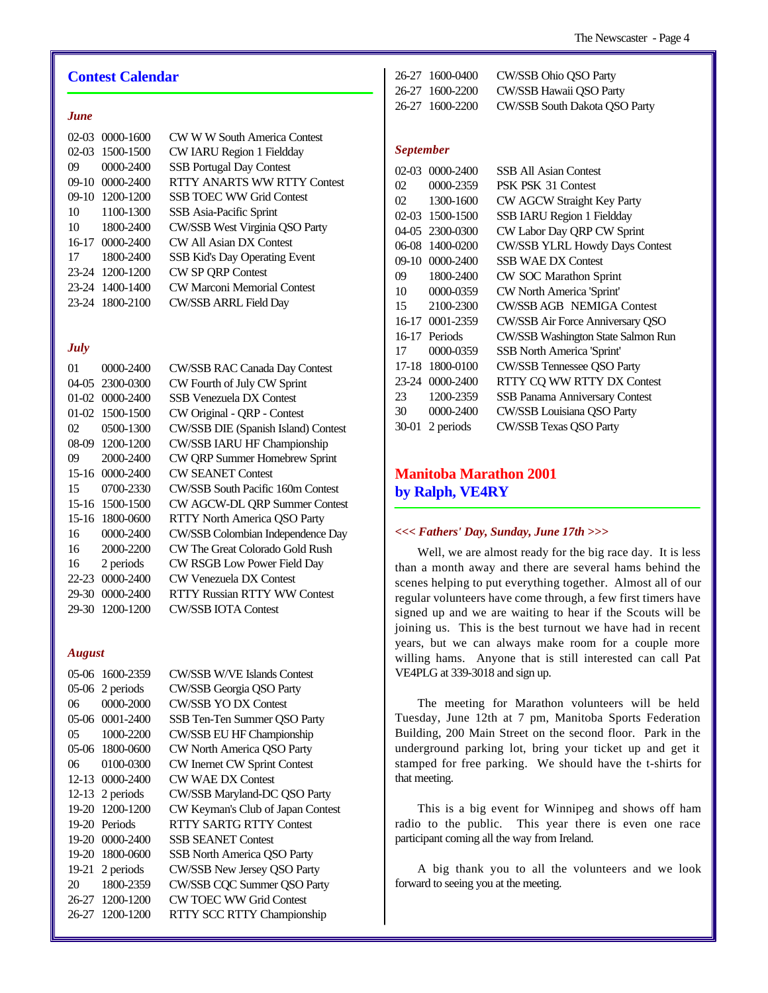#### **Contest Calendar**

#### *June*

|    | 02-03 0000-1600 | CW W W South America Contest       |
|----|-----------------|------------------------------------|
|    | 02-03 1500-1500 | CW IARU Region 1 Fieldday          |
| 09 | 0000-2400       | <b>SSB</b> Portugal Day Contest    |
|    | 09-10 0000-2400 | RTTY ANARTS WW RTTY Contest        |
|    | 09-10 1200-1200 | <b>SSB TOEC WW Grid Contest</b>    |
| 10 | 1100-1300       | SSB Asia-Pacific Sprint            |
| 10 | 1800-2400       | CW/SSB West Virginia QSO Party     |
|    | 16-17 0000-2400 | CW All Asian DX Contest            |
| 17 | 1800-2400       | SSB Kid's Day Operating Event      |
|    | 23-24 1200-1200 | <b>CW SP QRP Contest</b>           |
|    | 23-24 1400-1400 | <b>CW Marconi Memorial Contest</b> |
|    | 23-24 1800-2100 | <b>CW/SSB ARRL Field Day</b>       |

#### *July*

| 01      | $0000 - 2400$   | <b>CW/SSB RAC Canada Day Contest</b> |
|---------|-----------------|--------------------------------------|
|         | 04-05 2300-0300 | CW Fourth of July CW Sprint          |
| $01-02$ | $0000 - 2400$   | SSB Venezuela DX Contest             |
| $01-02$ | 1500-1500       | CW Original - QRP - Contest          |
| 02      | 0500-1300       | CW/SSB DIE (Spanish Island) Contest  |
| 08-09   | 1200-1200       | CW/SSB IARU HF Championship          |
| 09      | 2000-2400       | CW QRP Summer Homebrew Sprint        |
| 15-16   | $0000 - 2400$   | <b>CW SEANET Contest</b>             |
| 15      | 0700-2330       | CW/SSB South Pacific 160m Contest    |
| $15-16$ | 1500-1500       | CW AGCW-DL QRP Summer Contest        |
| 15-16   | 1800-0600       | RTTY North America QSO Party         |
| 16      | $0000 - 2400$   | CW/SSB Colombian Independence Day    |
| 16      | 2000-2200       | CW The Great Colorado Gold Rush      |
| 16      | 2 periods       | CW RSGB Low Power Field Day          |
| 22-23   | 0000-2400       | <b>CW Venezuela DX Contest</b>       |
| 29-30   | 0000-2400       | <b>RTTY Russian RTTY WW Contest</b>  |
| 29-30   | 1200-1200       | <b>CW/SSB IOTA Contest</b>           |
|         |                 |                                      |

#### *August*

| 05-06   | 1600-2359         | <b>CW/SSB W/VE Islands Contest</b> |
|---------|-------------------|------------------------------------|
| 05-06   | 2 periods         | CW/SSB Georgia QSO Party           |
| 06      | 0000-2000         | <b>CW/SSB YO DX Contest</b>        |
| 05-06   | $0001 - 2400$     | SSB Ten-Ten Summer OSO Party       |
| 05      | 1000-2200         | CW/SSB EU HF Championship          |
| 05-06   | 1800-0600         | CW North America QSO Party         |
| 06      | 0100-0300         | CW Inernet CW Sprint Contest       |
| $12-13$ | 0000-2400         | <b>CW WAE DX Contest</b>           |
|         | 12-13 2 periods   | CW/SSB Maryland-DC QSO Party       |
| 19-20   | 1200-1200         | CW Keyman's Club of Japan Contest  |
| 19-20   | Periods           | RTTY SARTG RTTY Contest            |
| 19-20   | 0000-2400         | <b>SSB SEANET Contest</b>          |
| 19-20   | 1800-0600         | SSB North America QSO Party        |
|         | $19-21$ 2 periods | CW/SSB New Jersey QSO Party        |
| 20      | 1800-2359         | CW/SSB CQC Summer QSO Party        |
|         | 26-27 1200-1200   | <b>CW TOEC WW Grid Contest</b>     |
| 26-27   | 1200-1200         | RTTY SCC RTTY Championship         |

| 26-27 1600-0400 | CW/SSB Ohio OSO Party         |
|-----------------|-------------------------------|
| 26-27 1600-2200 | CW/SSB Hawaii OSO Party       |
| 26-27 1600-2200 | CW/SSB South Dakota OSO Party |

#### *September*

| 0000-2400          | <b>SSB All Asian Contest</b>       |
|--------------------|------------------------------------|
| 0000-2359          | PSK PSK 31 Contest                 |
| 1300-1600          | CW AGCW Straight Key Party         |
| 1500-1500<br>02-03 | SSB IARU Region 1 Fieldday         |
| 2300-0300          | CW Labor Day QRP CW Sprint         |
| 1400-0200          | CW/SSB YLRL Howdy Days Contest     |
| 0000-2400          | <b>SSB WAE DX Contest</b>          |
| 1800-2400          | CW SOC Marathon Sprint             |
| 0000-0359          | CW North America 'Sprint'          |
| 2100-2300          | <b>CW/SSB AGB NEMIGA Contest</b>   |
| 0001-2359<br>16-17 | CW/SSB Air Force Anniversary QSO   |
| 16-17<br>Periods   | CW/SSB Washington State Salmon Run |
| 0000-0359          | <b>SSB</b> North America 'Sprint'  |
| 1800-0100          | <b>CW/SSB Tennessee QSO Party</b>  |
| 0000-2400          | RTTY CQ WW RTTY DX Contest         |
| 1200-2359          | SSB Panama Anniversary Contest     |
| 0000-2400          | CW/SSB Louisiana QSO Party         |
| 2 periods          | <b>CW/SSB Texas QSO Party</b>      |
|                    |                                    |

#### **Manitoba Marathon 2001 by Ralph, VE4RY**

#### *<<< Fathers' Day, Sunday, June 17th >>>*

Well, we are almost ready for the big race day. It is less than a month away and there are several hams behind the scenes helping to put everything together. Almost all of our regular volunteers have come through, a few first timers have signed up and we are waiting to hear if the Scouts will be joining us. This is the best turnout we have had in recent years, but we can always make room for a couple more willing hams. Anyone that is still interested can call Pat VE4PLG at 339-3018 and sign up.

The meeting for Marathon volunteers will be held Tuesday, June 12th at 7 pm, Manitoba Sports Federation Building, 200 Main Street on the second floor. Park in the underground parking lot, bring your ticket up and get it stamped for free parking. We should have the t-shirts for that meeting.

This is a big event for Winnipeg and shows off ham radio to the public. This year there is even one race participant coming all the way from Ireland.

A big thank you to all the volunteers and we look forward to seeing you at the meeting.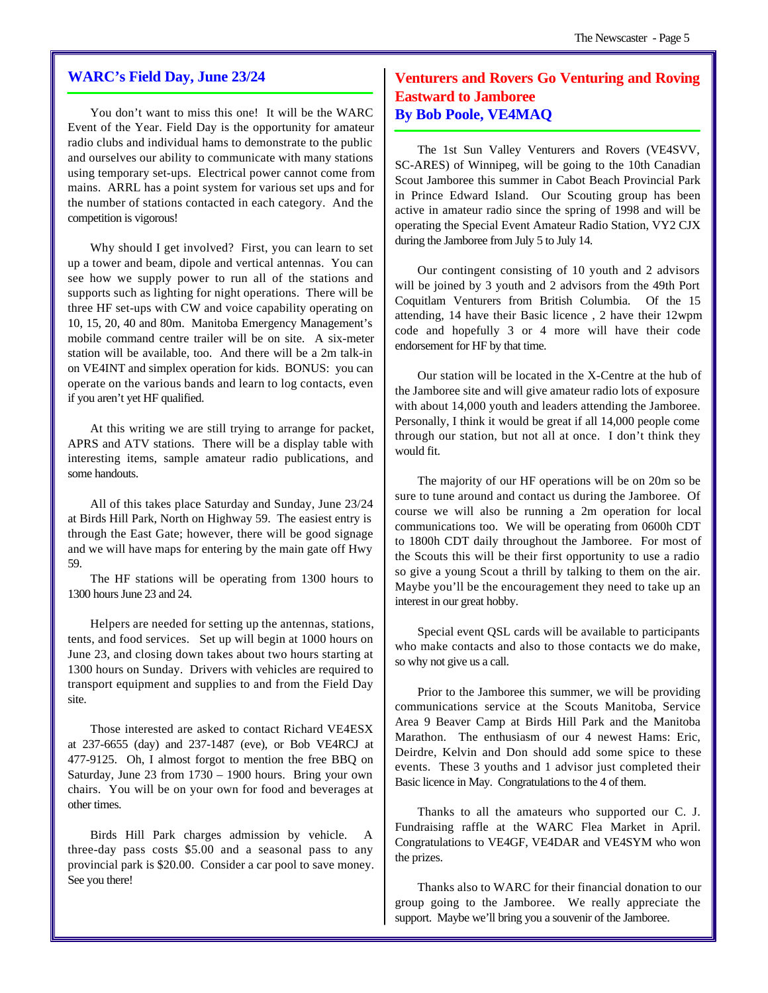#### **WARC's Field Day, June 23/24**

You don't want to miss this one! It will be the WARC Event of the Year. Field Day is the opportunity for amateur radio clubs and individual hams to demonstrate to the public and ourselves our ability to communicate with many stations using temporary set-ups. Electrical power cannot come from mains. ARRL has a point system for various set ups and for the number of stations contacted in each category. And the competition is vigorous!

Why should I get involved? First, you can learn to set up a tower and beam, dipole and vertical antennas. You can see how we supply power to run all of the stations and supports such as lighting for night operations. There will be three HF set-ups with CW and voice capability operating on 10, 15, 20, 40 and 80m. Manitoba Emergency Management's mobile command centre trailer will be on site. A six-meter station will be available, too. And there will be a 2m talk-in on VE4INT and simplex operation for kids. BONUS: you can operate on the various bands and learn to log contacts, even if you aren't yet HF qualified.

At this writing we are still trying to arrange for packet, APRS and ATV stations. There will be a display table with interesting items, sample amateur radio publications, and some handouts.

All of this takes place Saturday and Sunday, June 23/24 at Birds Hill Park, North on Highway 59. The easiest entry is through the East Gate; however, there will be good signage and we will have maps for entering by the main gate off Hwy 59.

The HF stations will be operating from 1300 hours to 1300 hours June 23 and 24.

Helpers are needed for setting up the antennas, stations, tents, and food services. Set up will begin at 1000 hours on June 23, and closing down takes about two hours starting at 1300 hours on Sunday. Drivers with vehicles are required to transport equipment and supplies to and from the Field Day site.

Those interested are asked to contact Richard VE4ESX at 237-6655 (day) and 237-1487 (eve), or Bob VE4RCJ at 477-9125. Oh, I almost forgot to mention the free BBQ on Saturday, June 23 from 1730 – 1900 hours. Bring your own chairs. You will be on your own for food and beverages at other times.

Birds Hill Park charges admission by vehicle. A three-day pass costs \$5.00 and a seasonal pass to any provincial park is \$20.00. Consider a car pool to save money. See you there!

#### **Venturers and Rovers Go Venturing and Roving Eastward to Jamboree By Bob Poole, VE4MAQ**

The 1st Sun Valley Venturers and Rovers (VE4SVV, SC-ARES) of Winnipeg, will be going to the 10th Canadian Scout Jamboree this summer in Cabot Beach Provincial Park in Prince Edward Island. Our Scouting group has been active in amateur radio since the spring of 1998 and will be operating the Special Event Amateur Radio Station, VY2 CJX during the Jamboree from July 5 to July 14.

Our contingent consisting of 10 youth and 2 advisors will be joined by 3 youth and 2 advisors from the 49th Port Coquitlam Venturers from British Columbia. Of the 15 attending, 14 have their Basic licence , 2 have their 12wpm code and hopefully 3 or 4 more will have their code endorsement for HF by that time.

Our station will be located in the X-Centre at the hub of the Jamboree site and will give amateur radio lots of exposure with about 14,000 youth and leaders attending the Jamboree. Personally, I think it would be great if all 14,000 people come through our station, but not all at once. I don't think they would fit.

The majority of our HF operations will be on 20m so be sure to tune around and contact us during the Jamboree. Of course we will also be running a 2m operation for local communications too. We will be operating from 0600h CDT to 1800h CDT daily throughout the Jamboree. For most of the Scouts this will be their first opportunity to use a radio so give a young Scout a thrill by talking to them on the air. Maybe you'll be the encouragement they need to take up an interest in our great hobby.

Special event QSL cards will be available to participants who make contacts and also to those contacts we do make, so why not give us a call.

Prior to the Jamboree this summer, we will be providing communications service at the Scouts Manitoba, Service Area 9 Beaver Camp at Birds Hill Park and the Manitoba Marathon. The enthusiasm of our 4 newest Hams: Eric, Deirdre, Kelvin and Don should add some spice to these events. These 3 youths and 1 advisor just completed their Basic licence in May. Congratulations to the 4 of them.

Thanks to all the amateurs who supported our C. J. Fundraising raffle at the WARC Flea Market in April. Congratulations to VE4GF, VE4DAR and VE4SYM who won the prizes.

Thanks also to WARC for their financial donation to our group going to the Jamboree. We really appreciate the support. Maybe we'll bring you a souvenir of the Jamboree.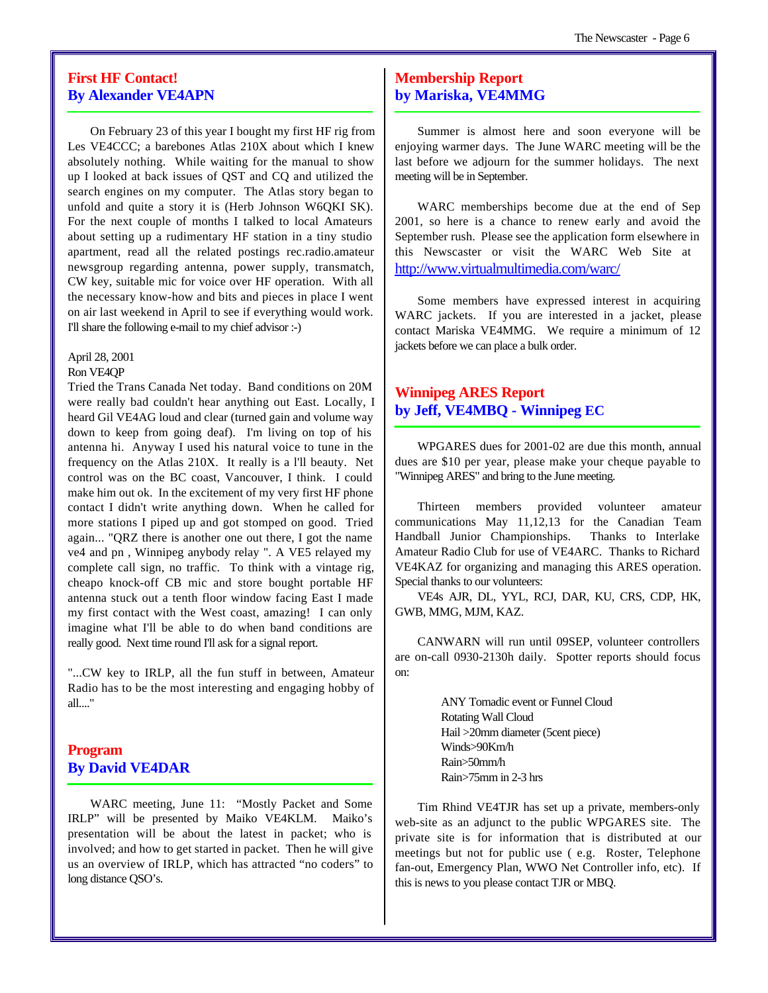#### **First HF Contact! By Alexander VE4APN**

On February 23 of this year I bought my first HF rig from Les VE4CCC; a barebones Atlas 210X about which I knew absolutely nothing. While waiting for the manual to show up I looked at back issues of QST and CQ and utilized the search engines on my computer. The Atlas story began to unfold and quite a story it is (Herb Johnson W6QKI SK). For the next couple of months I talked to local Amateurs about setting up a rudimentary HF station in a tiny studio apartment, read all the related postings rec.radio.amateur newsgroup regarding antenna, power supply, transmatch, CW key, suitable mic for voice over HF operation. With all the necessary know-how and bits and pieces in place I went on air last weekend in April to see if everything would work. I'll share the following e-mail to my chief advisor :-)

April 28, 2001

#### Ron VE4QP

Tried the Trans Canada Net today. Band conditions on 20M were really bad couldn't hear anything out East. Locally, I heard Gil VE4AG loud and clear (turned gain and volume way down to keep from going deaf). I'm living on top of his antenna hi. Anyway I used his natural voice to tune in the frequency on the Atlas 210X. It really is a l'll beauty. Net control was on the BC coast, Vancouver, I think. I could make him out ok. In the excitement of my very first HF phone contact I didn't write anything down. When he called for more stations I piped up and got stomped on good. Tried again... "QRZ there is another one out there, I got the name ve4 and pn , Winnipeg anybody relay ". A VE5 relayed my complete call sign, no traffic. To think with a vintage rig, cheapo knock-off CB mic and store bought portable HF antenna stuck out a tenth floor window facing East I made my first contact with the West coast, amazing! I can only imagine what I'll be able to do when band conditions are really good. Next time round I'll ask for a signal report.

"...CW key to IRLP, all the fun stuff in between, Amateur Radio has to be the most interesting and engaging hobby of all...."

#### **Program By David VE4DAR**

WARC meeting, June 11: "Mostly Packet and Some IRLP" will be presented by Maiko VE4KLM. Maiko's presentation will be about the latest in packet; who is involved; and how to get started in packet. Then he will give us an overview of IRLP, which has attracted "no coders" to long distance QSO's.

#### **Membership Report by Mariska, VE4MMG**

Summer is almost here and soon everyone will be enjoying warmer days. The June WARC meeting will be the last before we adjourn for the summer holidays. The next meeting will be in September.

WARC memberships become due at the end of Sep 2001, so here is a chance to renew early and avoid the September rush. Please see the application form elsewhere in this Newscaster or visit the WARC Web Site at http://www.virtualmultimedia.com/warc/

Some members have expressed interest in acquiring WARC jackets. If you are interested in a jacket, please contact Mariska VE4MMG. We require a minimum of 12 jackets before we can place a bulk order.

#### **Winnipeg ARES Report by Jeff, VE4MBQ - Winnipeg EC**

WPGARES dues for 2001-02 are due this month, annual dues are \$10 per year, please make your cheque payable to "Winnipeg ARES" and bring to the June meeting.

Thirteen members provided volunteer amateur communications May 11,12,13 for the Canadian Team Handball Junior Championships. Thanks to Interlake Amateur Radio Club for use of VE4ARC. Thanks to Richard VE4KAZ for organizing and managing this ARES operation. Special thanks to our volunteers:

VE4s AJR, DL, YYL, RCJ, DAR, KU, CRS, CDP, HK, GWB, MMG, MJM, KAZ.

CANWARN will run until 09SEP, volunteer controllers are on-call 0930-2130h daily. Spotter reports should focus on:

> ANY Tornadic event or Funnel Cloud Rotating Wall Cloud Hail >20mm diameter (5cent piece) Winds>90Km/h Rain>50mm/h Rain>75mm in 2-3 hrs

Tim Rhind VE4TJR has set up a private, members-only web-site as an adjunct to the public WPGARES site. The private site is for information that is distributed at our meetings but not for public use ( e.g. Roster, Telephone fan-out, Emergency Plan, WWO Net Controller info, etc). If this is news to you please contact TJR or MBQ.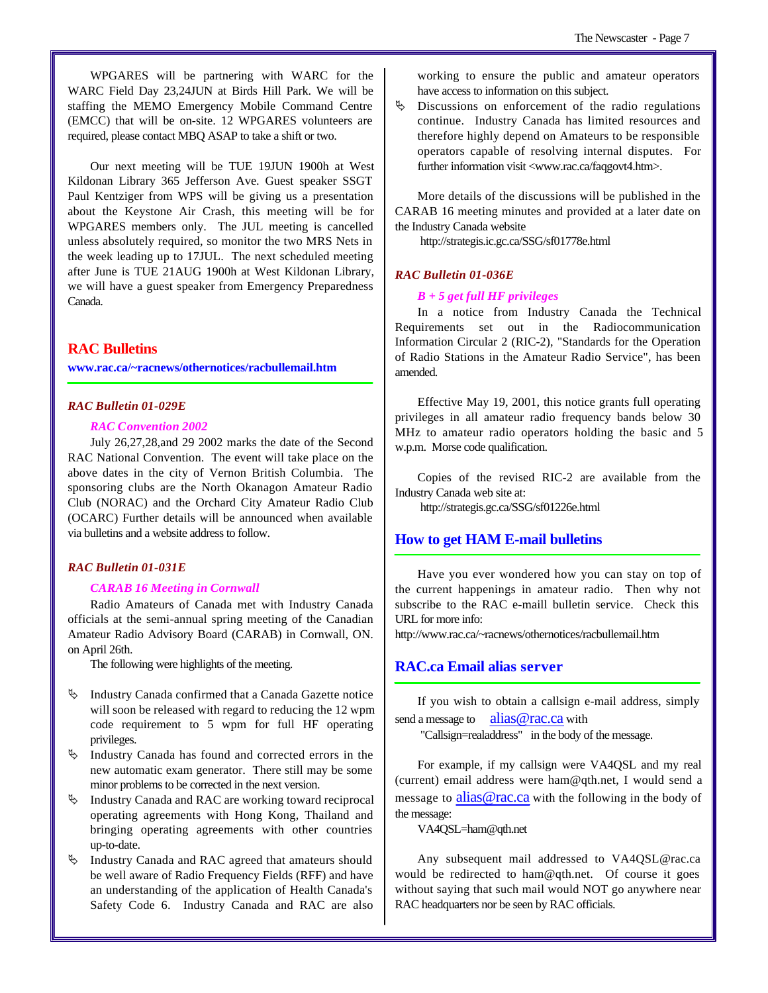WPGARES will be partnering with WARC for the WARC Field Day 23,24JUN at Birds Hill Park. We will be staffing the MEMO Emergency Mobile Command Centre (EMCC) that will be on-site. 12 WPGARES volunteers are required, please contact MBQ ASAP to take a shift or two.

Our next meeting will be TUE 19JUN 1900h at West Kildonan Library 365 Jefferson Ave. Guest speaker SSGT Paul Kentziger from WPS will be giving us a presentation about the Keystone Air Crash, this meeting will be for WPGARES members only. The JUL meeting is cancelled unless absolutely required, so monitor the two MRS Nets in the week leading up to 17JUL. The next scheduled meeting after June is TUE 21AUG 1900h at West Kildonan Library, we will have a guest speaker from Emergency Preparedness Canada.

#### **RAC Bulletins**

**www.rac.ca/~racnews/othernotices/racbullemail.htm**

#### *RAC Bulletin 01-029E*

#### *RAC Convention 2002*

July 26,27,28,and 29 2002 marks the date of the Second RAC National Convention. The event will take place on the above dates in the city of Vernon British Columbia. The sponsoring clubs are the North Okanagon Amateur Radio Club (NORAC) and the Orchard City Amateur Radio Club (OCARC) Further details will be announced when available via bulletins and a website address to follow.

#### *RAC Bulletin 01-031E*

#### *CARAB 16 Meeting in Cornwall*

Radio Amateurs of Canada met with Industry Canada officials at the semi-annual spring meeting of the Canadian Amateur Radio Advisory Board (CARAB) in Cornwall, ON. on April 26th.

The following were highlights of the meeting.

- $\upphi$  Industry Canada confirmed that a Canada Gazette notice will soon be released with regard to reducing the 12 wpm code requirement to 5 wpm for full HF operating privileges.
- $\upphi$  Industry Canada has found and corrected errors in the new automatic exam generator. There still may be some minor problems to be corrected in the next version.
- ƒ Industry Canada and RAC are working toward reciprocal operating agreements with Hong Kong, Thailand and bringing operating agreements with other countries up-to-date.
- $\%$  Industry Canada and RAC agreed that amateurs should be well aware of Radio Frequency Fields (RFF) and have an understanding of the application of Health Canada's Safety Code 6. Industry Canada and RAC are also

working to ensure the public and amateur operators have access to information on this subject.

 $\&$  Discussions on enforcement of the radio regulations continue. Industry Canada has limited resources and therefore highly depend on Amateurs to be responsible operators capable of resolving internal disputes. For further information visit <www.rac.ca/faqgovt4.htm>.

More details of the discussions will be published in the CARAB 16 meeting minutes and provided at a later date on the Industry Canada website

http://strategis.ic.gc.ca/SSG/sf01778e.html

#### *RAC Bulletin 01-036E*

#### *B + 5 get full HF privileges*

In a notice from Industry Canada the Technical Requirements set out in the Radiocommunication Information Circular 2 (RIC-2), "Standards for the Operation of Radio Stations in the Amateur Radio Service", has been amended.

Effective May 19, 2001, this notice grants full operating privileges in all amateur radio frequency bands below 30 MHz to amateur radio operators holding the basic and 5 w.p.m. Morse code qualification.

Copies of the revised RIC-2 are available from the Industry Canada web site at:

http://strategis.gc.ca/SSG/sf01226e.html

#### **How to get HAM E-mail bulletins**

Have you ever wondered how you can stay on top of the current happenings in amateur radio. Then why not subscribe to the RAC e-maill bulletin service. Check this URL for more info:

http://www.rac.ca/~racnews/othernotices/racbullemail.htm

#### **RAC.ca Email alias server**

If you wish to obtain a callsign e-mail address, simply send a message to alias @rac.ca with

"Callsign=realaddress" in the body of the message.

For example, if my callsign were VA4QSL and my real (current) email address were ham@qth.net, I would send a message to alias@rac.ca with the following in the body of the message:

VA4QSL=ham@qth.net

Any subsequent mail addressed to VA4QSL@rac.ca would be redirected to ham@qth.net. Of course it goes without saying that such mail would NOT go anywhere near RAC headquarters nor be seen by RAC officials.